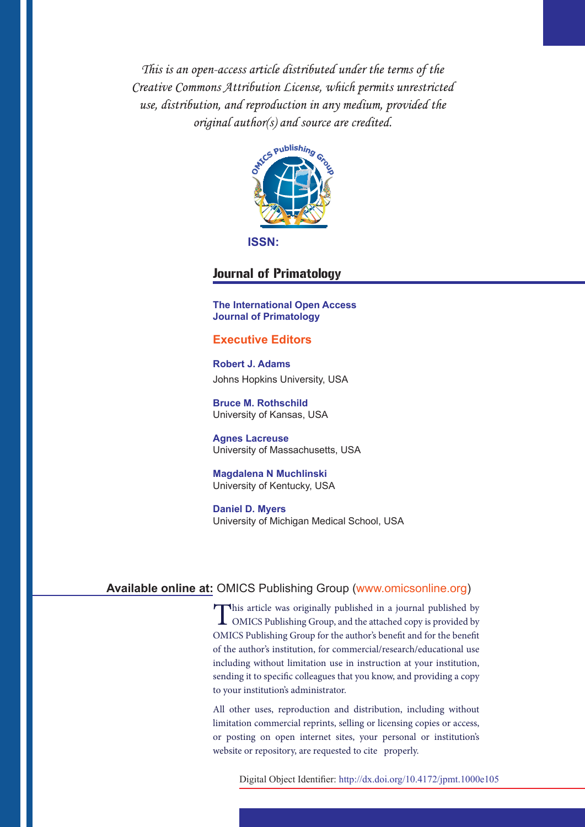This is an open-access article distributed under the terms of the Creative Commons Attribution License, which permits unrestricted use, distribution, and reproduction in any medium, provided the original author(s) and source are credited.



**ISSN:**

# Journal of Primatology

**The International Open Access Journal of Primatology**

## **Executive Editors**

**Robert J. Adams** Johns Hopkins University, USA

**Bruce M. Rothschild**  University of Kansas, USA

**Agnes Lacreuse** University of Massachusetts, USA

**Magdalena N Muchlinski** University of Kentucky, USA

**Daniel D. Myers**  University of Michigan Medical School, USA

# **Available online at:** OMICS Publishing Group (www.omicsonline.org)

This article was originally published in a journal published by OMICS Publishing Group, and the attached copy is provided by OMICS Publishing Group for the author's benefit and for the benefit of the author's institution, for commercial/research/educational use including without limitation use in instruction at your institution, sending it to specific colleagues that you know, and providing a copy to your institution's administrator.

All other uses, reproduction and distribution, including without limitation commercial reprints, selling or licensing copies or access, or posting on open internet sites, your personal or institution's website or repository, are requested to cite properly.

Digital Object Identifier: http://dx.doi.org/10.4172/jpmt.1000e105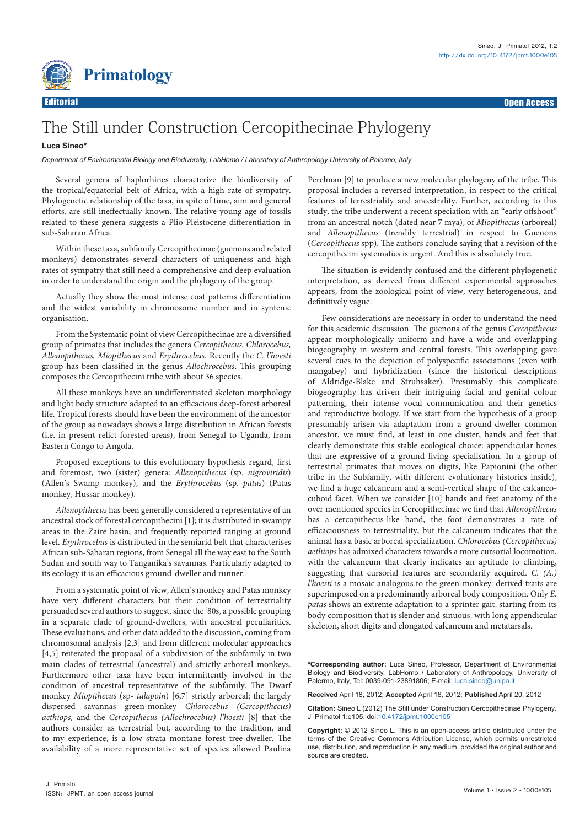

# The Still under Construction Cercopithecinae Phylogeny

### **Luca Sineo\***

*Department of Environmental Biology and Biodiversity, LabHomo / Laboratory of Anthropology University of Palermo, Italy*

Several genera of haplorhines characterize the biodiversity of the tropical/equatorial belt of Africa, with a high rate of sympatry. Phylogenetic relationship of the taxa, in spite of time, aim and general efforts, are still ineffectually known. The relative young age of fossils related to these genera suggests a Plio-Pleistocene differentiation in sub-Saharan Africa.

Within these taxa, subfamily Cercopithecinae (guenons and related monkeys) demonstrates several characters of uniqueness and high rates of sympatry that still need a comprehensive and deep evaluation in order to understand the origin and the phylogeny of the group.

Actually they show the most intense coat patterns differentiation and the widest variability in chromosome number and in syntenic organisation.

From the Systematic point of view Cercopithecinae are a diversified group of primates that includes the genera *Cercopithecus, Chlorocebus, Allenopithecus, Miopithecus* and *Erythrocebus.* Recently the *C. l'hoesti* group has been classified in the genus *Allochrocebus*. This grouping composes the Cercopithecini tribe with about 36 species.

All these monkeys have an undifferentiated skeleton morphology and light body structure adapted to an efficacious deep-forest arboreal life. Tropical forests should have been the environment of the ancestor of the group as nowadays shows a large distribution in African forests (i.e. in present relict forested areas), from Senegal to Uganda, from Eastern Congo to Angola.

Proposed exceptions to this evolutionary hypothesis regard, first and foremost, two (sister) genera: *Allenopithecus* (sp. *nigroviridis*) (Allen's Swamp monkey), and the *Erythrocebus* (sp. *patas*) (Patas monkey, Hussar monkey).

*Allenopithecus* has been generally considered a representative of an ancestral stock of forestal cercopithecini [1]; it is distributed in swampy areas in the Zaire basin, and frequently reported ranging at ground level. *Erythrocebus* is distributed in the semiarid belt that characterises African sub-Saharan regions, from Senegal all the way east to the South Sudan and south way to Tanganika's savannas. Particularly adapted to its ecology it is an efficacious ground-dweller and runner.

From a systematic point of view, Allen's monkey and Patas monkey have very different characters but their condition of terrestriality persuaded several authors to suggest, since the '80s, a possible grouping in a separate clade of ground-dwellers, with ancestral peculiarities. These evaluations, and other data added to the discussion, coming from chromosomal analysis [2,3] and from different molecular approaches [4,5] reiterated the proposal of a subdivision of the subfamily in two main clades of terrestrial (ancestral) and strictly arboreal monkeys. Furthermore other taxa have been intermittently involved in the condition of ancestral representative of the subfamily. The Dwarf monkey *Miopithecus* (sp- *talapoin*) [6,7] strictly arboreal; the largely dispersed savannas green-monkey *Chlorocebus (Cercopithecus) aethiops,* and the *Cercopithecus (Allochrocebus) l'hoesti* [8] that the authors consider as terrestrial but, according to the tradition, and to my experience, is a low strata montane forest tree-dweller. The availability of a more representative set of species allowed Paulina

Perelman [9] to produce a new molecular phylogeny of the tribe. This proposal includes a reversed interpretation, in respect to the critical features of terrestriality and ancestrality. Further, according to this study, the tribe underwent a recent speciation with an "early offshoot" from an ancestral notch (dated near 7 mya), of *Miopithecus* (arboreal) and *Allenopithecus* (trendily terrestrial) in respect to Guenons (*Cercopithecus* spp). The authors conclude saying that a revision of the cercopithecini systematics is urgent. And this is absolutely true.

The situation is evidently confused and the different phylogenetic interpretation, as derived from different experimental approaches appears, from the zoological point of view, very heterogeneous, and definitively vague.

Few considerations are necessary in order to understand the need for this academic discussion. The guenons of the genus *Cercopithecus* appear morphologically uniform and have a wide and overlapping biogeography in western and central forests. This overlapping gave several cues to the depiction of polyspecific associations (even with mangabey) and hybridization (since the historical descriptions of Aldridge-Blake and Struhsaker). Presumably this complicate biogeography has driven their intriguing facial and genital colour patterning, their intense vocal communication and their genetics and reproductive biology. If we start from the hypothesis of a group presumably arisen via adaptation from a ground-dweller common ancestor, we must find, at least in one cluster, hands and feet that clearly demonstrate this stable ecological choice: appendicular bones that are expressive of a ground living specialisation. In a group of terrestrial primates that moves on digits, like Papionini (the other tribe in the Subfamily, with different evolutionary histories inside), we find a huge calcaneum and a semi-vertical shape of the calcaneocuboid facet. When we consider [10] hands and feet anatomy of the over mentioned species in Cercopithecinae we find that *Allenopithecus* has a cercopithecus-like hand, the foot demonstrates a rate of efficaciousness to terrestriality, but the calcaneum indicates that the animal has a basic arboreal specialization. *Chlorocebus (Cercopithecus) aethiops* has admixed characters towards a more cursorial locomotion, with the calcaneum that clearly indicates an aptitude to climbing, suggesting that cursorial features are secondarily acquired. *C. (A.) l'hoesti* is a mosaic analogous to the green-monkey: derived traits are superimposed on a predominantly arboreal body composition. Only *E. patas* shows an extreme adaptation to a sprinter gait, starting from its body composition that is slender and sinuous, with long appendicular skeleton, short digits and elongated calcaneum and metatarsals.

**\*Corresponding author:** Luca Sineo, Professor, Department of Environmental Biology and Biodiversity, LabHomo / Laboratory of Anthropology, University of Palermo, Italy, Tel: 0039-091-23891806; E-mail: luca.sineo@unipa.it

**Received** April 18, 2012; **Accepted** April 18, 2012; **Published** April 20, 2012

**Citation:** Sineo L (2012) The Still under Construction Cercopithecinae Phylogeny. J Primatol 1:e105. doi:[10.4172/jpmt.1000e10](http://dx.doi.org/10.4172/jpmt.1000e105)5

**Copyright:** © 2012 Sineo L. This is an open-access article distributed under the terms of the Creative Commons Attribution License, which permits unrestricted use, distribution, and reproduction in any medium, provided the original author and source are credited.